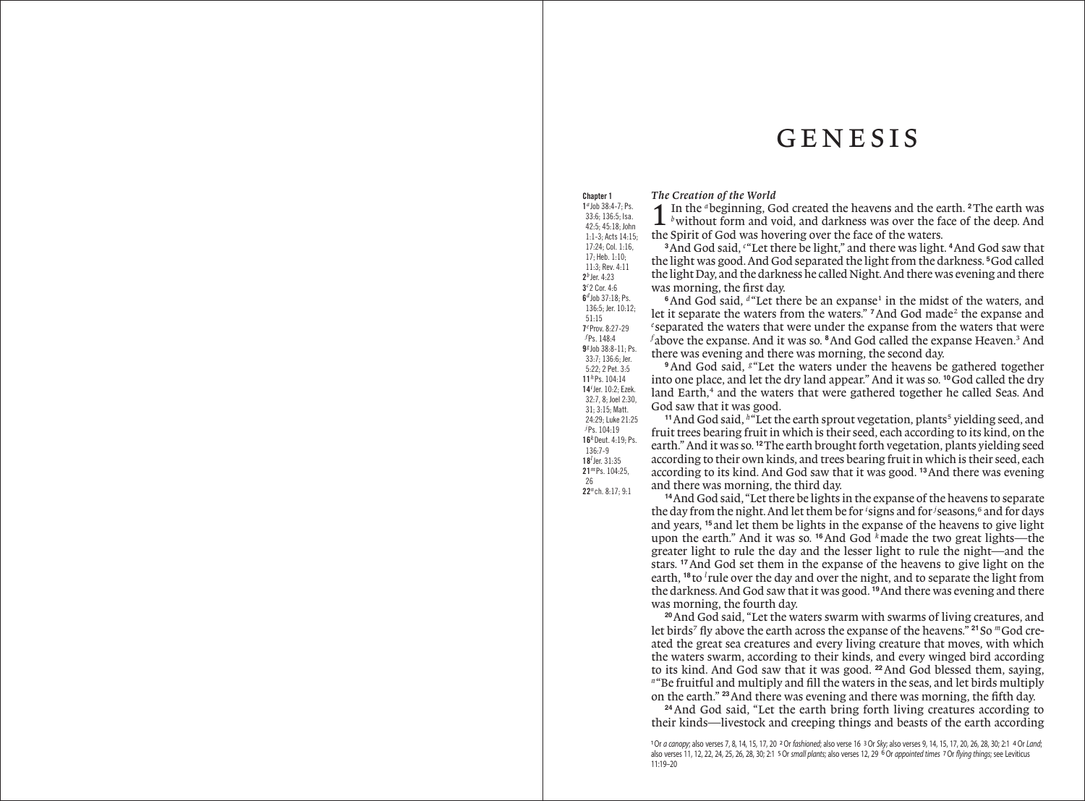## GENESIS

*The Creation of the World*

1In the *<sup>a</sup>*beginning, God created the heavens and the earth. **<sup>2</sup>**The earth was *<sup>b</sup>*without form and void, and darkness was over the face of the deep. And the Spirit of God was hovering over the face of the waters.

**<sup>3</sup>**And God said, *<sup>c</sup>* "Let there be light," and there was light. **<sup>4</sup>**And God saw that the light was good. And God separated the light from the darkness. **<sup>5</sup>**God called the light Day, and the darkness he called Night. And there was evening and there was morning, the first day.

<sup>6</sup> And God said, <sup>*d*</sup> "Let there be an expanse<sup>1</sup> in the midst of the waters, and let it separate the waters from the waters." <sup>7</sup>And God made<sup>2</sup> the expanse and *<sup>e</sup>*separated the waters that were under the expanse from the waters that were <sup>f</sup>above the expanse. And it was so. <sup>8</sup> And God called the expanse Heaven.<sup>3</sup> And there was evening and there was morning, the second day.

<sup>9</sup>And God said, <sup>g</sup> "Let the waters under the heavens be gathered together into one place, and let the dry land appear." And it was so. **<sup>10</sup>**God called the dry land Earth,<sup>4</sup> and the waters that were gathered together he called Seas. And God saw that it was good.

<sup>11</sup> And God said, <sup>h</sup> "Let the earth sprout vegetation, plants<sup>5</sup> yielding seed, and fruit trees bearing fruit in which is their seed, each according to its kind, on the earth." And it was so. **<sup>12</sup>**The earth brought forth vegetation, plants yielding seed according to their own kinds, and trees bearing fruit in which is their seed, each according to its kind. And God saw that it was good. **<sup>13</sup>**And there was evening and there was morning, the third day.

**<sup>14</sup>**And God said, "Let there be lights in the expanse of the heavens to separate the day from the night. And let them be for 'signs and for *'seasons*,<sup>6</sup> and for days and years, **<sup>15</sup>** and let them be lights in the expanse of the heavens to give light upon the earth." And it was so. <sup>16</sup>And God <sup>k</sup> made the two great lights—the greater light to rule the day and the lesser light to rule the night—and the stars. **<sup>17</sup>**And God set them in the expanse of the heavens to give light on the earth, **<sup>18</sup>** to *<sup>l</sup>* rule over the day and over the night, and to separate the light from the darkness. And God saw that it was good. **<sup>19</sup>**And there was evening and there was morning, the fourth day.

**<sup>20</sup>**And God said, "Let the waters swarm with swarms of living creatures, and let birds<sup>7</sup> fly above the earth across the expanse of the heavens." <sup>21</sup> So <sup>m</sup>God created the great sea creatures and every living creature that moves, with which the waters swarm, according to their kinds, and every winged bird according to its kind. And God saw that it was good. **22**And God blessed them, saying, *<sup>n</sup>*"Be fruitful and multiply and fill the waters in the seas, and let birds multiply on the earth." **<sup>23</sup>**And there was evening and there was morning, the fifth day.

**<sup>24</sup>**And God said, "Let the earth bring forth living creatures according to their kinds—livestock and creeping things and beasts of the earth according

1Or a canopy; also verses 7, 8, 14, 15, 17, 20 2Or fashioned; also verse 16 3Or Sky; also verses 9, 14, 15, 17, 20, 26, 28, 30; 2:1 4Or Land; also verses 11, 12, 22, 24, 25, 26, 28, 30; 2:1 5 Or small plants; also verses 12, 29 <sup>6</sup> Or appointed times 7 Or flying things; see Leviticus 11:19–20

1:1-3; Acts 14:15; 17:24; Col. 1:16, 17; Heb. 1:10; 11:3; Rev. 4:11 2*b* Jer. 4:23 3*c* 2 Cor. 4:6 6*d* Job 37:18; Ps. 136:5; Jer. 10:12; 51:15 7*e* Prov. 8:27-29 *f* Ps. 148:4 9*g* Job 38:8-11; Ps. 33:7; 136:6; Jer. 5:22; 2 Pet. 3:5 11*h* Ps. 104:14 14*<sup>i</sup>* Jer. 10:2; Ezek. 32:7, 8; Joel 2:30, 31; 3:15; Matt. 24:29; Luke 21:25 *j* Ps. 104:19 16*k* Deut. 4:19; Ps. 136:7-9 18*<sup>l</sup>* Jer. 31:35 21<sup>m</sup> Ps. 104:25 26

22*n* ch. 8:17; 9:1

Chapter 1 1*a* Job 38:4-7; Ps. 33:6; 136:5; Isa. 42:5; 45:18; John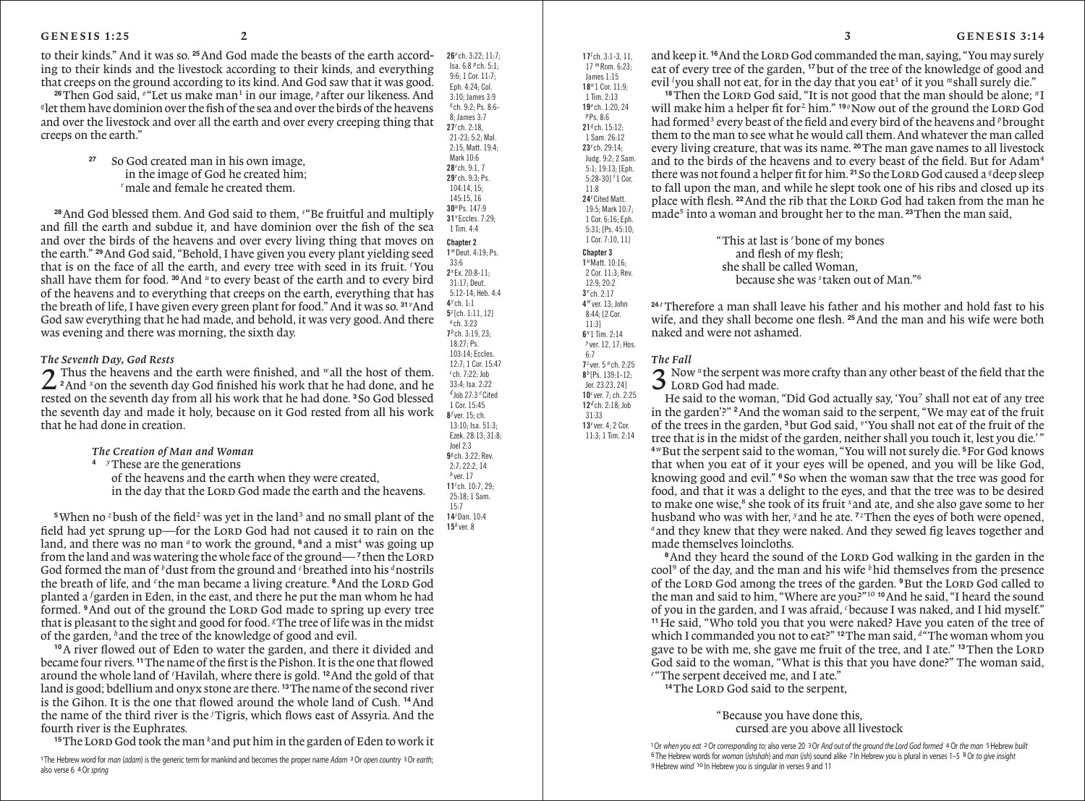to their kinds." And it was so. **<sup>25</sup>**And God made the beasts of the earth according to their kinds and the livestock according to their kinds, and everything that creeps on the ground according to its kind. And God saw that it was good.

<sup>26</sup>Then God said, <sup>o</sup> "Let us make man<sup>1</sup> in our image, <sup>p</sup>after our likeness. And *<sup>q</sup>*let them have dominion over the fish of the sea and over the birds of the heavens and over the livestock and over all the earth and over every creeping thing that creeps on the earth."

| 27 | So God created man in his own image. |
|----|--------------------------------------|
|    | in the image of God he created him;  |
|    | male and female he created them.     |

**<sup>28</sup>**And God blessed them. And God said to them, *<sup>s</sup>* "Be fruitful and multiply and fill the earth and subdue it, and have dominion over the fish of the sea and over the birds of the heavens and over every living thing that moves on the earth." **<sup>29</sup>**And God said, "Behold, I have given you every plant yielding seed that is on the face of all the earth, and every tree with seed in its fruit. *<sup>t</sup>*You shall have them for food. **<sup>30</sup>**And *<sup>u</sup>* to every beast of the earth and to every bird of the heavens and to everything that creeps on the earth, everything that has the breath of life, I have given every green plant for food." And it was so. **<sup>31</sup>** *<sup>v</sup>* And God saw everything that he had made, and behold, it was very good. And there was evening and there was morning, the sixth day.

*The Seventh Day, God Rests*

2 Thus the heavens and the earth were finished, and *w* all the host of them.<br><sup>2</sup>And <sup>*x*</sup>on the seventh day God finished his work that he had done, and he rested on the seventh day from all his work that he had done. **<sup>3</sup>** So God blessed the seventh day and made it holy, because on it God rested from all his work that he had done in creation.

| The Creation of Man and Woman |  |  |  |  |
|-------------------------------|--|--|--|--|
|-------------------------------|--|--|--|--|

**<sup>4</sup>** *<sup>y</sup>*These are the generations

 of the heavens and the earth when they were created, in the day that the LORD God made the earth and the heavens.

15:7

<sup>5</sup>When no<sup>z</sup>bush of the field<sup>2</sup> was yet in the land<sup>3</sup> and no small plant of the field had yet sprung up—for the LORD God had not caused it to rain on the land, and there was no man <sup>a</sup> to work the ground, <sup>6</sup> and a mist<sup>4</sup> was going up from the land and was watering the whole face of the ground—<sup>7</sup>then the LORD God formed the man of <sup>b</sup> dust from the ground and <sup>c</sup> breathed into his *d* nostrils the breath of life, and <sup>*e*</sup>the man became a living creature. <sup>8</sup>And the LORD God planted a *<sup>f</sup>* garden in Eden, in the east, and there he put the man whom he had formed. <sup>9</sup>And out of the ground the LORD God made to spring up every tree that is pleasant to the sight and good for food. *<sup>g</sup>*The tree of life was in the midst of the garden, *<sup>h</sup>* and the tree of the knowledge of good and evil.

**<sup>10</sup>**A river flowed out of Eden to water the garden, and there it divided and became four rivers. **<sup>11</sup>**The name of the first is the Pishon. It is the one that flowed around the whole land of *<sup>i</sup>* Havilah, where there is gold. **<sup>12</sup>**And the gold of that land is good; bdellium and onyx stone are there. **<sup>13</sup>**The name of the second river is the Gihon. It is the one that flowed around the whole land of Cush. **<sup>14</sup>**And the name of the third river is the *<sup>j</sup>* Tigris, which flows east of Assyria. And the fourth river is the Euphrates.

<sup>15</sup>The LORD God took the man <sup>k</sup>and put him in the garden of Eden to work it

<sup>1</sup>The Hebrew word for man (adam) is the generic term for mankind and becomes the proper name Adam <sup>2</sup> Or open country <sup>3</sup> Or earth; also verse 6 4Or spring

26*<sup>o</sup>* ch. 3:22; 11:7; Isa. 6:8 *p* ch. 5:1; 9:6; 1 Cor. 11:7; Eph. 4:24; Col. 3:10; James 3:9 *<sup>q</sup>* ch. 9:2; Ps. 8:6- 8; James 3:7 27*<sup>r</sup>* ch. 2:18, 21-23; 5:2; Mal. 2:15; Matt. 19:4; Mark 10:6 28*<sup>s</sup>* ch. 9:1, 7 29*<sup>t</sup>* ch. 9:3; Ps. 104:14, 15; 145:15, 16 30*u* Ps. 147:9 31*v* Eccles. 7:29; 1 Tim. 4:4 Chapter 2 1*w* Deut. 4:19; Ps. 33:6 2*x* Ex. 20:8-11; 31:17; Deut. 5:12-14; Heb. 4:4 4*y* ch. 1:1 5*z* [ch. 1:11, 12] *<sup>a</sup>* ch. 3:23 7*b* ch. 3:19, 23; 18:27; Ps. 103:14; Eccles. 12:7; 1 Cor. 15:47 *c* ch. 7:22; Job 33:4; Isa. 2:22 *<sup>d</sup>* Job 27:3 *<sup>e</sup>* Cited 1 Cor. 15:45 8*f* ver. 15; ch. 13:10; Isa. 51:3; Ezek. 28:13; 31:8; Joel 2:3 9*g* ch. 3:22; Rev. 2:7; 22:2, 14 *<sup>h</sup>* ver. 17 11*<sup>i</sup>* ch. 10:7, 29; 25:18; 1 Sam. 14*<sup>j</sup>* Dan. 10:4 15*k* ver. 8

and keep it. <sup>16</sup> And the LORD God commanded the man, saying, "You may surely eat of every tree of the garden, **<sup>17</sup>**but of the tree of the knowledge of good and evil <sup>*l*</sup>you shall not eat, for in the day that you eat<sup>1</sup> of it you <sup>m</sup>shall surely die."

<sup>18</sup>Then the LORD God said, "It is not good that the man should be alone: "I will make him a helper fit for<sup>2</sup> him." <sup>19</sup> *N*ow out of the ground the LORD God had formed<sup>3</sup> every beast of the field and every bird of the heavens and <sup>p</sup>brought them to the man to see what he would call them. And whatever the man called every living creature, that was its name. **<sup>20</sup>**The man gave names to all livestock and to the birds of the heavens and to every beast of the field. But for Adam<sup>4</sup> there was not found a helper fit for him. <sup>21</sup> So the LORD God caused a <sup>q</sup>deep sleep to fall upon the man, and while he slept took one of his ribs and closed up its place with flesh. <sup>22</sup> And the rib that the LORD God had taken from the man he made<sup>5</sup> into a woman and brought her to the man. <sup>23</sup> Then the man said,

> "This at last is *<sup>r</sup>*bone of my bones and flesh of my flesh; she shall be called Woman, because she was *<sup>s</sup>* taken out of Man."<sup>6</sup>

**<sup>24</sup>** *<sup>t</sup>*Therefore a man shall leave his father and his mother and hold fast to his wife, and they shall become one flesh. **<sup>25</sup>**And the man and his wife were both naked and were not ashamed.

## *The Fall*

17*<sup>l</sup>* ch. 3:1-3, 11, 17 *m* Rom. 6:23; James 1:15 18*n* 1 Cor. 11:9; 1 Tim. 2:13 19*<sup>o</sup>* ch. 1:20, 24 *<sup>p</sup>* Ps. 8:6 21*q* ch. 15:12; 1 Sam. 26:12 23*<sup>r</sup>* ch. 29:14; Judg. 9:2; 2 Sam. 5:1; 19:13; [Eph. 5:28-30]<sup>s</sup> 1 Cor. 11:8 24*<sup>t</sup>* Cited Matt. 19:5; Mark 10:7; 1 Cor. 6:16; Eph. 5:31; [Ps. 45:10; 1 Cor. 7:10, 11] Chapter 3 1*u* Matt. 10:16; 2 Cor. 11:3; Rev. 12:9; 20:2 3*v* ch. 2:17 4*w* ver. 13; John 8:44; [2 Cor. 11:3] 6*x* 1 Tim. 2:14 *<sup>y</sup>* ver. 12, 17; Hos. 6:7 7*z* ver. 5 *a* ch. 2:25  $R^{b}$  [Ps. 139-1-12; Jer. 23:23, 24] 10*<sup>c</sup>* ver. 7; ch. 2:25 12*d* ch. 2:18; Job 31:33 13*<sup>e</sup>* ver. 4; 2 Cor. 11:3; 1 Tim. 2:14

3 Now *<sup>u</sup>*the serpent was more crafty than any other beast of the field that the  $\bigcup$  LORD God had made.

He said to the woman, "Did God actually say, 'You<sup>7</sup> shall not eat of any tree in the garden'?" **<sup>2</sup>**And the woman said to the serpent, "We may eat of the fruit of the trees in the garden, **<sup>3</sup>**but God said, *<sup>v</sup>* 'You shall not eat of the fruit of the tree that is in the midst of the garden, neither shall you touch it, lest you die.' " **<sup>4</sup>***<sup>w</sup>*But the serpent said to the woman, "You will not surely die. **<sup>5</sup>**For God knows that when you eat of it your eyes will be opened, and you will be like God, knowing good and evil." **<sup>6</sup>** So when the woman saw that the tree was good for food, and that it was a delight to the eyes, and that the tree was to be desired to make one wise,<sup>8</sup> she took of its fruit <sup>x</sup> and ate, and she also gave some to her husband who was with her, *<sup>y</sup>*and he ate. **<sup>7</sup>** *<sup>z</sup>*Then the eyes of both were opened, *<sup>a</sup>* and they knew that they were naked. And they sewed fig leaves together and made themselves loincloths.

<sup>8</sup> And they heard the sound of the LORD God walking in the garden in the cool<sup>9</sup> of the day, and the man and his wife *<sup>b</sup>*hid themselves from the presence of the LORD God among the trees of the garden. <sup>9</sup>But the LORD God called to the man and said to him, "Where are you?"<sup>10</sup> **<sup>10</sup>**And he said, "I heard the sound of you in the garden, and I was afraid, *<sup>c</sup>*because I was naked, and I hid myself." **<sup>11</sup>**He said, "Who told you that you were naked? Have you eaten of the tree of which I commanded you not to eat?" **<sup>12</sup>**The man said, *<sup>d</sup>*"The woman whom you gave to be with me, she gave me fruit of the tree, and I ate." **<sup>13</sup>**Then the Lord God said to the woman, "What is this that you have done?" The woman said, *<sup>e</sup>*"The serpent deceived me, and I ate."

<sup>14</sup>The LORD God said to the serpent.

"Because you have done this, cursed are you above all livestock

1Or when you eat 2Or corresponding to; also verse 20 3Or And out of the ground the Lord God formed 4Or the man 5Hebrew built 6 The Hebrew words for woman (ishshah) and man (ish) sound alike 7 In Hebrew you is plural in verses 1–5 8 Or to give insight<br>9 Hebrew wind <sup>10</sup> In Hebrew you is singular in verses 9 and 11